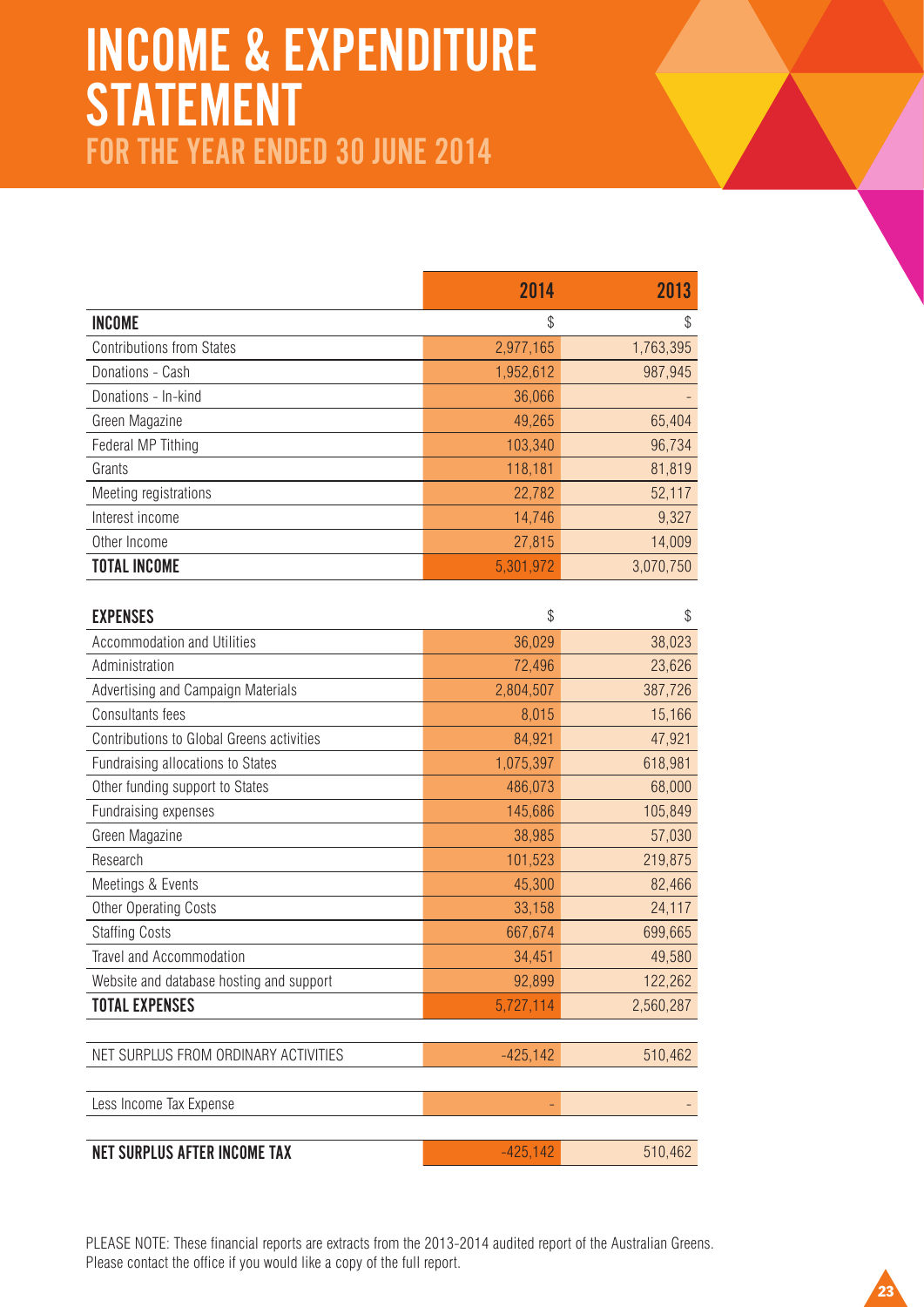## INCOME & EXPENDITURE STATEMENT FOR THE YEAR ENDED 30 JUNE 2014

|                                  | 2014      | 2013      |
|----------------------------------|-----------|-----------|
| <b>INCOME</b>                    | \$        | \$        |
| <b>Contributions from States</b> | 2,977,165 | 1,763,395 |
| Donations - Cash                 | 1,952,612 | 987,945   |
| Donations - In-kind              | 36,066    |           |
| Green Magazine                   | 49,265    | 65,404    |
| Federal MP Tithing               | 103,340   | 96,734    |
| Grants                           | 118,181   | 81,819    |
| Meeting registrations            | 22,782    | 52,117    |
| Interest income                  | 14,746    | 9,327     |
| Other Income                     | 27,815    | 14,009    |
| <b>TOTAL INCOME</b>              | 5,301,972 | 3,070,750 |

| <b>EXPENSES</b>                           | \$          | \$        |
|-------------------------------------------|-------------|-----------|
| <b>Accommodation and Utilities</b>        | 36,029      | 38,023    |
| Administration                            | 72,496      | 23,626    |
| Advertising and Campaign Materials        | 2,804,507   | 387,726   |
| Consultants fees                          | 8,015       | 15,166    |
| Contributions to Global Greens activities | 84,921      | 47,921    |
| Fundraising allocations to States         | 1,075,397   | 618,981   |
| Other funding support to States           | 486,073     | 68,000    |
| Fundraising expenses                      | 145,686     | 105,849   |
| Green Magazine                            | 38,985      | 57,030    |
| Research                                  | 101,523     | 219,875   |
| Meetings & Events                         | 45,300      | 82,466    |
| <b>Other Operating Costs</b>              | 33,158      | 24,117    |
| <b>Staffing Costs</b>                     | 667,674     | 699,665   |
| Travel and Accommodation                  | 34,451      | 49,580    |
| Website and database hosting and support  | 92,899      | 122,262   |
| <b>TOTAL EXPENSES</b>                     | 5,727,114   | 2,560,287 |
|                                           |             |           |
| NET SURPLUS FROM ORDINARY ACTIVITIES      | $-425, 142$ | 510,462   |
|                                           |             |           |
| Less Income Tax Expense                   |             |           |
|                                           |             |           |
| <b>NET SURPLUS AFTER INCOME TAX</b>       | $-425, 142$ | 510,462   |

PLEASE NOTE: These financial reports are extracts from the 2013-2014 audited report of the Australian Greens. Please contact the office if you would like a copy of the full report.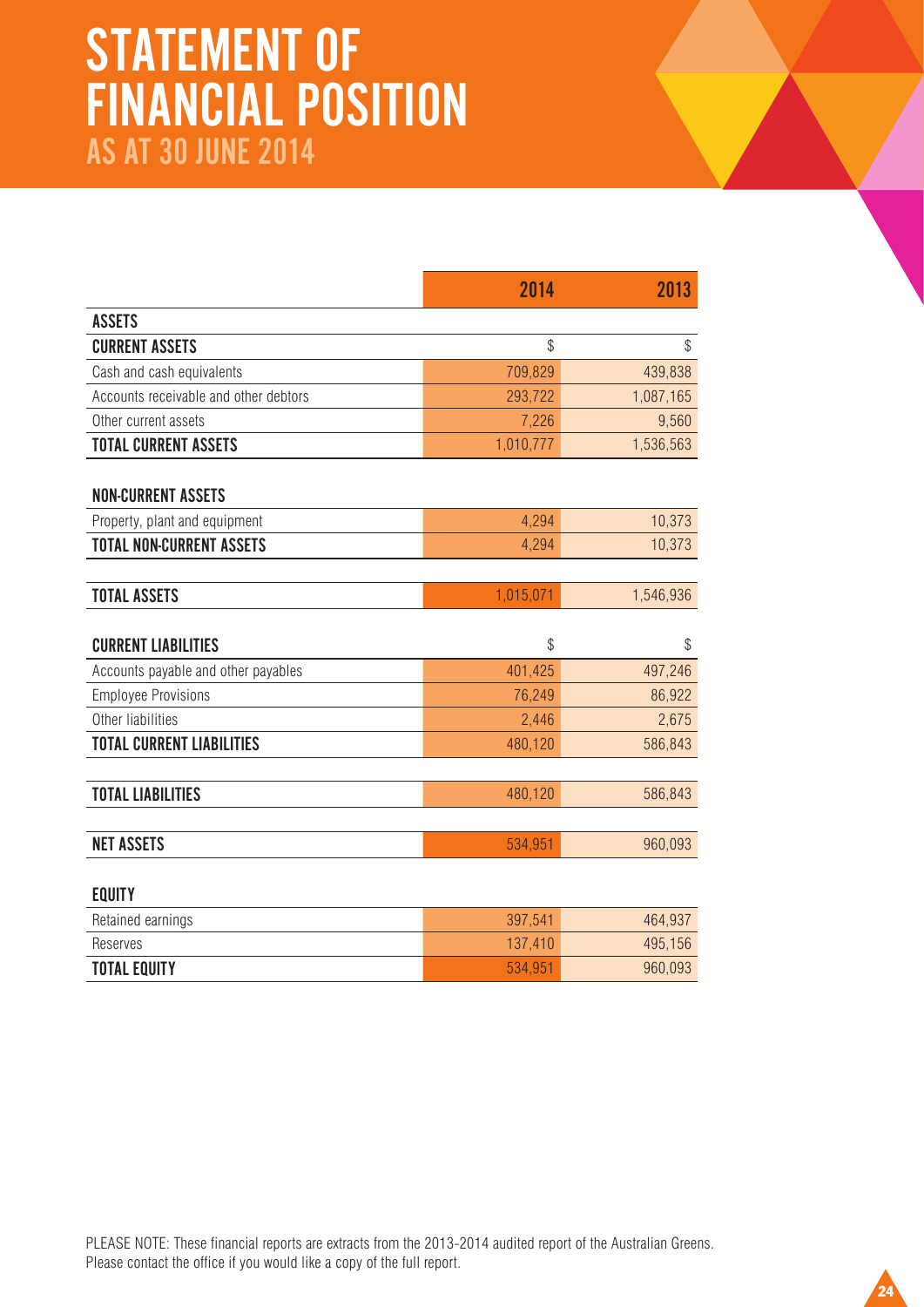## STATEMENT OF FINANCIAL POSITION AS AT 30 JUNE 2014

|                                       | 2014      | 2013      |
|---------------------------------------|-----------|-----------|
| <b>ASSETS</b>                         |           |           |
| <b>CURRENT ASSETS</b>                 | \$        | \$        |
| Cash and cash equivalents             | 709,829   | 439,838   |
| Accounts receivable and other debtors | 293,722   | 1,087,165 |
| Other current assets                  | 7,226     | 9,560     |
| <b>TOTAL CURRENT ASSETS</b>           | 1,010,777 | 1,536,563 |
| <b>NON-CURRENT ASSETS</b>             |           |           |
| Property, plant and equipment         | 4,294     | 10,373    |
| <b>TOTAL NON-CURRENT ASSETS</b>       | 4,294     | 10,373    |
|                                       |           |           |
| <b>TOTAL ASSETS</b>                   | 1,015,071 | 1,546,936 |
|                                       |           |           |
| <b>CURRENT LIABILITIES</b>            | \$        | \$        |
| Accounts payable and other payables   | 401,425   | 497,246   |
| <b>Employee Provisions</b>            | 76,249    | 86,922    |
| Other liabilities                     | 2,446     | 2,675     |
| <b>TOTAL CURRENT LIABILITIES</b>      | 480,120   | 586,843   |
|                                       |           |           |
| <b>TOTAL LIABILITIES</b>              | 480,120   | 586,843   |
|                                       |           |           |
| <b>NET ASSETS</b>                     | 534,951   | 960,093   |
| <b>EQUITY</b>                         |           |           |
| Retained earnings                     | 397,541   | 464,937   |
|                                       |           |           |

PLEASE NOTE: These financial reports are extracts from the 2013-2014 audited report of the Australian Greens. Please contact the office if you would like a copy of the full report.

Reserves 137,410 495,156 **TOTAL EQUITY** 960,093